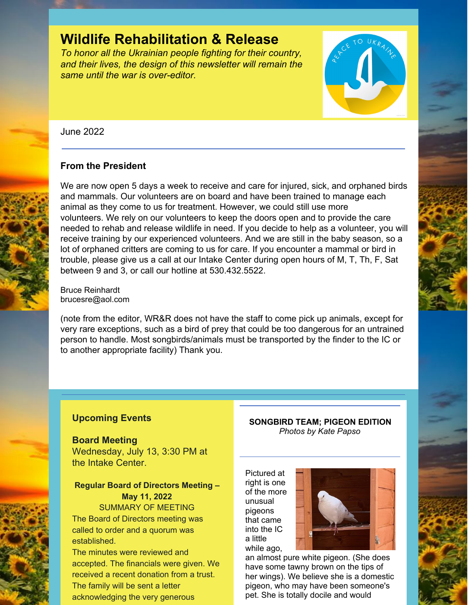# **Wildlife Rehabilitation & Release**

*To honor all the Ukrainian people fighting for their country, and their lives, the design of this newsletter will remain the same until the war is over-editor.*



June 2022

## **From the President**

We are now open 5 days a week to receive and care for injured, sick, and orphaned birds and mammals. Our volunteers are on board and have been trained to manage each animal as they come to us for treatment. However, we could still use more volunteers. We rely on our volunteers to keep the doors open and to provide the care needed to rehab and release wildlife in need. If you decide to help as a volunteer, you will receive training by our experienced volunteers. And we are still in the baby season, so a lot of orphaned critters are coming to us for care. If you encounter a mammal or bird in trouble, please give us a call at our Intake Center during open hours of M, T, Th, F, Sat between 9 and 3, or call our hotline at 530.432.5522.

Bruce Reinhardt brucesre@aol.com

(note from the editor, WR&R does not have the staff to come pick up animals, except for very rare exceptions, such as a bird of prey that could be too dangerous for an untrained person to handle. Most songbirds/animals must be transported by the finder to the IC or to another appropriate facility) Thank you.

## **Upcoming Events**

**Board Meeting** Wednesday, July 13, 3:30 PM at the Intake Center.

# **Regular Board of Directors Meeting – May 11, 2022**

SUMMARY OF MEETING The Board of Directors meeting was called to order and a quorum was established.

The minutes were reviewed and accepted. The financials were given. We received a recent donation from a trust. The family will be sent a letter acknowledging the very generous

#### **SONGBIRD TEAM; PIGEON EDITION** *Photos by Kate Papso*

Pictured at right is one of the more unusual pigeons that came into the IC a little while ago,



an almost pure white pigeon. (She does have some tawny brown on the tips of her wings). We believe she is a domestic pigeon, who may have been someone's pet. She is totally docile and would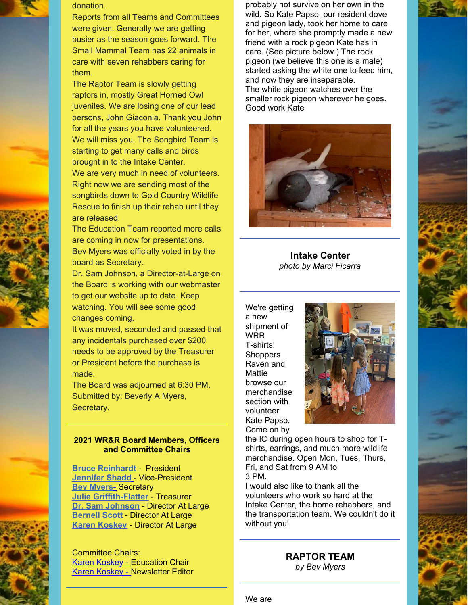



Reports from all Teams and Committees were given. Generally we are getting busier as the season goes forward. The Small Mammal Team has 22 animals in care with seven rehabbers caring for them.

The Raptor Team is slowly getting raptors in, mostly Great Horned Owl juveniles. We are losing one of our lead persons, John Giaconia. Thank you John for all the years you have volunteered. We will miss you. The Songbird Team is starting to get many calls and birds brought in to the Intake Center. We are very much in need of volunteers. Right now we are sending most of the songbirds down to Gold Country Wildlife Rescue to finish up their rehab until they are released.

The Education Team reported more calls are coming in now for presentations. Bev Myers was officially voted in by the board as Secretary.

Dr. Sam Johnson, a Director-at-Large on the Board is working with our webmaster to get our website up to date. Keep watching. You will see some good changes coming.

It was moved, seconded and passed that any incidentals purchased over \$200 needs to be approved by the Treasurer or President before the purchase is made.

The Board was adjourned at 6:30 PM. Submitted by: Beverly A Myers, Secretary.

#### **2021 WR&R Board Members, Officers and Committee Chairs**

**Bruce [Reinhardt](mailto:brucesre@aol.com)** - President **[Jennifer](mailto:JLShadd@comcast.net) Shad[d](mailto:tomatowazoo@yahoo.com)** - Vice-President **Bev Myers**[-](mailto:mlypeterson@comcast.net) Secretary **Julie [Griffith-Flatter](mailto:jlgriff@att.net)** - Treasurer **Dr. Sam Johnson** - Director At Large **[Bernell](mailto:bsscott1@comcast.net) Scott** - Director At Large **Karen [Koskey](mailto:kkosk6565@gmail.com)** - Director At Large

Committee Chairs: Karen [Koskey](mailto:kkosk6565@gmail.com) - Education Chair Karen [Koskey](mailto:kkosk6565@gmail.com) - Newsletter Editor

probably not survive on her own in the wild. So Kate Papso, our resident dove and pigeon lady, took her home to care for her, where she promptly made a new friend with a rock pigeon Kate has in care. (See picture below.) The rock pigeon (we believe this one is a male) started asking the white one to feed him, and now they are inseparable. The white pigeon watches over the smaller rock pigeon wherever he goes. Good work Kate



**Intake Center** *photo by Marci Ficarra*

We're getting a new shipment of WRR T-shirts! **Shoppers** Raven and **Mattie** browse our merchandise section with volunteer Kate Papso. Come on by



the IC during open hours to shop for Tshirts, earrings, and much more wildlife merchandise. Open Mon, Tues, Thurs, Fri, and Sat from 9 AM to 3 PM.

I would also like to thank all the volunteers who work so hard at the Intake Center, the home rehabbers, and the transportation team. We couldn't do it without you!

## **RAPTOR TEAM**

*by Bev Myers*

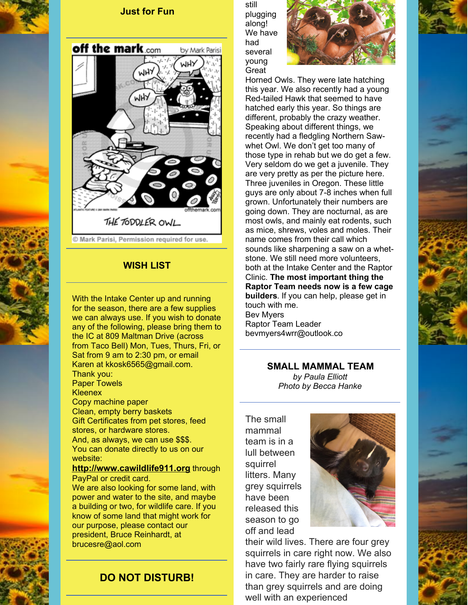



© Mark Parisi, Permission required for use.

### **WISH LIST**

With the Intake Center up and running for the season, there are a few supplies we can always use. If you wish to donate any of the following, please bring them to the IC at 809 Maltman Drive (across from Taco Bell) Mon, Tues, Thurs, Fri, or Sat from 9 am to 2:30 pm, or email Karen at kkosk6565@gmail.com. Thank you: Paper Towels **Kleenex** Copy machine paper Clean, empty berry baskets Gift Certificates from pet stores, feed stores, or hardware stores. And, as always, we can use \$\$\$. You can donate directly to us on our website: **[http://www.cawildlife911.org](http://www.cawildlife911.org/)** through PayPal or credit card. We are also looking for some land, with

power and water to the site, and maybe a building or two, for wildlife care. If you know of some land that might work for our purpose, please contact our president, Bruce Reinhardt, at brucesre@aol.com

## **DO NOT DISTURB!**

still plugging along! We have had several young **Great** 



Horned Owls. They were late hatching this year. We also recently had a young Red-tailed Hawk that seemed to have hatched early this year. So things are different, probably the crazy weather. Speaking about different things, we recently had a fledgling Northern Sawwhet Owl. We don't get too many of those type in rehab but we do get a few. Very seldom do we get a juvenile. They are very pretty as per the picture here. Three juveniles in Oregon. These little guys are only about 7-8 inches when full grown. Unfortunately their numbers are going down. They are nocturnal, as are most owls, and mainly eat rodents, such as mice, shrews, voles and moles. Their name comes from their call which sounds like sharpening a saw on a whetstone. We still need more volunteers, both at the Intake Center and the Raptor Clinic. **The most important thing the Raptor Team needs now is a few cage builders**. If you can help, please get in touch with me. Bev Myers Raptor Team Leader bevmyers4wrr@outlook.co

**SMALL MAMMAL TEAM**

*by Paula Elliott Photo by Becca Hanke*

The small mammal team is in a lull between squirrel litters. Many grey squirrels have been released this season to go off and lead



their wild lives. There are four grey squirrels in care right now. We also have two fairly rare flying squirrels in care. They are harder to raise than grey squirrels and are doing well with an experienced